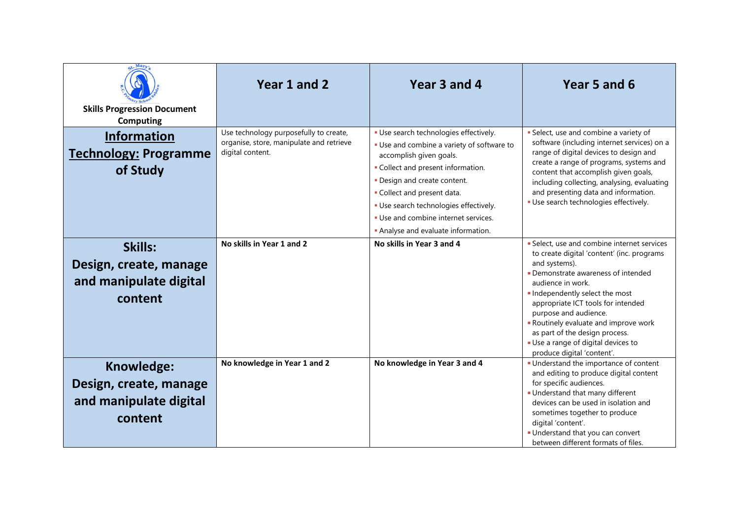| <b>Skills Progression Document</b>                                        | Year 1 and 2                                                                                           | Year 3 and 4                                                                                                    | Year 5 and 6                                                                                                                                                                                                                                                                                                                                                                                                     |
|---------------------------------------------------------------------------|--------------------------------------------------------------------------------------------------------|-----------------------------------------------------------------------------------------------------------------|------------------------------------------------------------------------------------------------------------------------------------------------------------------------------------------------------------------------------------------------------------------------------------------------------------------------------------------------------------------------------------------------------------------|
| <b>Computing</b>                                                          |                                                                                                        |                                                                                                                 |                                                                                                                                                                                                                                                                                                                                                                                                                  |
| <b>Information</b><br><b>Technology: Programme</b>                        | Use technology purposefully to create,<br>organise, store, manipulate and retrieve<br>digital content. | · Use search technologies effectively.<br>· Use and combine a variety of software to<br>accomplish given goals. | · Select, use and combine a variety of<br>software (including internet services) on a<br>range of digital devices to design and<br>create a range of programs, systems and                                                                                                                                                                                                                                       |
| of Study                                                                  |                                                                                                        | • Collect and present information.<br>. Design and create content.<br>. Collect and present data.               | content that accomplish given goals,<br>including collecting, analysing, evaluating<br>and presenting data and information.                                                                                                                                                                                                                                                                                      |
|                                                                           |                                                                                                        | · Use search technologies effectively.                                                                          | · Use search technologies effectively.                                                                                                                                                                                                                                                                                                                                                                           |
|                                                                           |                                                                                                        | . Use and combine internet services.                                                                            |                                                                                                                                                                                                                                                                                                                                                                                                                  |
|                                                                           |                                                                                                        | Analyse and evaluate information.                                                                               |                                                                                                                                                                                                                                                                                                                                                                                                                  |
| Skills:<br>Design, create, manage<br>and manipulate digital<br>content    | No skills in Year 1 and 2                                                                              | No skills in Year 3 and 4                                                                                       | Select, use and combine internet services<br>to create digital 'content' (inc. programs<br>and systems).<br>• Demonstrate awareness of intended<br>audience in work.<br>Independently select the most<br>appropriate ICT tools for intended<br>purpose and audience.<br>Routinely evaluate and improve work<br>as part of the design process.<br>Use a range of digital devices to<br>produce digital 'content'. |
| Knowledge:<br>Design, create, manage<br>and manipulate digital<br>content | No knowledge in Year 1 and 2                                                                           | No knowledge in Year 3 and 4                                                                                    | Understand the importance of content<br>and editing to produce digital content<br>for specific audiences.<br>Understand that many different<br>devices can be used in isolation and<br>sometimes together to produce<br>digital 'content'.<br>• Understand that you can convert<br>between different formats of files.                                                                                           |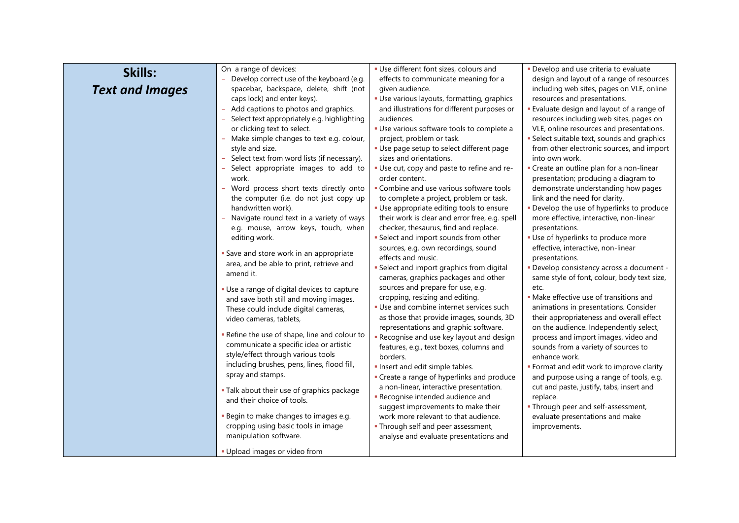| Skills:                | On a range of devices:                                        | · Use different font sizes, colours and        | · Develop and use criteria to evaluate          |
|------------------------|---------------------------------------------------------------|------------------------------------------------|-------------------------------------------------|
|                        | Develop correct use of the keyboard (e.g.                     | effects to communicate meaning for a           | design and layout of a range of resources       |
| <b>Text and Images</b> | spacebar, backspace, delete, shift (not                       | given audience.                                | including web sites, pages on VLE, online       |
|                        | caps lock) and enter keys).                                   | · Use various layouts, formatting, graphics    | resources and presentations.                    |
|                        | Add captions to photos and graphics.                          | and illustrations for different purposes or    | <b>Evaluate design and layout of a range of</b> |
|                        | Select text appropriately e.g. highlighting                   | audiences.                                     | resources including web sites, pages on         |
|                        | or clicking text to select.                                   | · Use various software tools to complete a     | VLE, online resources and presentations.        |
|                        | - Make simple changes to text e.g. colour,                    | project, problem or task.                      | · Select suitable text, sounds and graphics     |
|                        | style and size.                                               | · Use page setup to select different page      | from other electronic sources, and import       |
|                        | - Select text from word lists (if necessary).                 | sizes and orientations.                        | into own work.                                  |
|                        | Select appropriate images to add to                           | . Use cut, copy and paste to refine and re-    | - Create an outline plan for a non-linear       |
|                        | work.                                                         | order content.                                 | presentation; producing a diagram to            |
|                        | - Word process short texts directly onto                      | • Combine and use various software tools       | demonstrate understanding how pages             |
|                        | the computer (i.e. do not just copy up                        | to complete a project, problem or task.        | link and the need for clarity.                  |
|                        | handwritten work).                                            | • Use appropriate editing tools to ensure      | . Develop the use of hyperlinks to produce      |
|                        | - Navigate round text in a variety of ways                    | their work is clear and error free, e.g. spell | more effective, interactive, non-linear         |
|                        | e.g. mouse, arrow keys, touch, when                           | checker, thesaurus, find and replace.          | presentations.                                  |
|                        | editing work.                                                 | · Select and import sounds from other          | · Use of hyperlinks to produce more             |
|                        |                                                               | sources, e.g. own recordings, sound            | effective, interactive, non-linear              |
|                        | Save and store work in an appropriate                         | effects and music.                             | presentations.                                  |
|                        | area, and be able to print, retrieve and                      | · Select and import graphics from digital      | - Develop consistency across a document -       |
|                        | amend it.                                                     | cameras, graphics packages and other           | same style of font, colour, body text size,     |
|                        | · Use a range of digital devices to capture                   | sources and prepare for use, e.g.              | etc.                                            |
|                        | and save both still and moving images.                        | cropping, resizing and editing.                | · Make effective use of transitions and         |
|                        | These could include digital cameras,                          | · Use and combine internet services such       | animations in presentations. Consider           |
|                        | video cameras, tablets,                                       | as those that provide images, sounds, 3D       | their appropriateness and overall effect        |
|                        |                                                               | representations and graphic software.          | on the audience. Independently select,          |
|                        | - Refine the use of shape, line and colour to                 | - Recognise and use key layout and design      | process and import images, video and            |
|                        | communicate a specific idea or artistic                       | features, e.g., text boxes, columns and        | sounds from a variety of sources to             |
|                        | style/effect through various tools                            | borders.                                       | enhance work.                                   |
|                        | including brushes, pens, lines, flood fill,                   | Insert and edit simple tables.                 | • Format and edit work to improve clarity       |
|                        | spray and stamps.                                             | • Create a range of hyperlinks and produce     | and purpose using a range of tools, e.g.        |
|                        |                                                               | a non-linear, interactive presentation.        | cut and paste, justify, tabs, insert and        |
|                        | . Talk about their use of graphics package                    | - Recognise intended audience and              | replace.                                        |
|                        | and their choice of tools.                                    | suggest improvements to make their             |                                                 |
|                        | Begin to make changes to images e.g.                          |                                                | . Through peer and self-assessment,             |
|                        |                                                               | work more relevant to that audience.           | evaluate presentations and make                 |
|                        | cropping using basic tools in image<br>manipulation software. | . Through self and peer assessment,            | improvements.                                   |
|                        |                                                               | analyse and evaluate presentations and         |                                                 |
|                        | . Upload images or video from                                 |                                                |                                                 |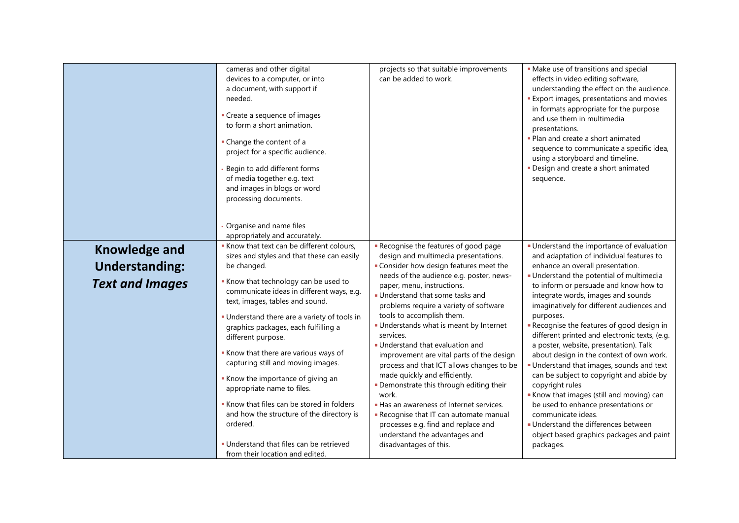|                        | cameras and other digital<br>devices to a computer, or into<br>a document, with support if<br>needed.<br>• Create a sequence of images<br>to form a short animation.<br>• Change the content of a<br>project for a specific audience.<br>Begin to add different forms<br>of media together e.g. text<br>and images in blogs or word<br>processing documents.<br>Organise and name files<br>appropriately and accurately.                                                                                                          | projects so that suitable improvements<br>can be added to work.                                                                                                                                                                                                                                                                                                                                                                                                                                                                                                                                    | • Make use of transitions and special<br>effects in video editing software,<br>understanding the effect on the audience.<br><b>Export images, presentations and movies</b><br>in formats appropriate for the purpose<br>and use them in multimedia<br>presentations.<br>. Plan and create a short animated<br>sequence to communicate a specific idea,<br>using a storyboard and timeline.<br>· Design and create a short animated<br>sequence.                                                                                                                                                                                             |
|------------------------|-----------------------------------------------------------------------------------------------------------------------------------------------------------------------------------------------------------------------------------------------------------------------------------------------------------------------------------------------------------------------------------------------------------------------------------------------------------------------------------------------------------------------------------|----------------------------------------------------------------------------------------------------------------------------------------------------------------------------------------------------------------------------------------------------------------------------------------------------------------------------------------------------------------------------------------------------------------------------------------------------------------------------------------------------------------------------------------------------------------------------------------------------|---------------------------------------------------------------------------------------------------------------------------------------------------------------------------------------------------------------------------------------------------------------------------------------------------------------------------------------------------------------------------------------------------------------------------------------------------------------------------------------------------------------------------------------------------------------------------------------------------------------------------------------------|
| <b>Knowledge and</b>   | Know that text can be different colours,                                                                                                                                                                                                                                                                                                                                                                                                                                                                                          | Recognise the features of good page                                                                                                                                                                                                                                                                                                                                                                                                                                                                                                                                                                | Understand the importance of evaluation                                                                                                                                                                                                                                                                                                                                                                                                                                                                                                                                                                                                     |
|                        | sizes and styles and that these can easily                                                                                                                                                                                                                                                                                                                                                                                                                                                                                        | design and multimedia presentations.                                                                                                                                                                                                                                                                                                                                                                                                                                                                                                                                                               | and adaptation of individual features to                                                                                                                                                                                                                                                                                                                                                                                                                                                                                                                                                                                                    |
| <b>Understanding:</b>  | be changed.                                                                                                                                                                                                                                                                                                                                                                                                                                                                                                                       | • Consider how design features meet the<br>needs of the audience e.g. poster, news-                                                                                                                                                                                                                                                                                                                                                                                                                                                                                                                | enhance an overall presentation.<br>- Understand the potential of multimedia                                                                                                                                                                                                                                                                                                                                                                                                                                                                                                                                                                |
| <b>Text and Images</b> | Know that technology can be used to<br>communicate ideas in different ways, e.g.<br>text, images, tables and sound.<br>• Understand there are a variety of tools in<br>graphics packages, each fulfilling a<br>different purpose.<br>Know that there are various ways of<br>capturing still and moving images.<br>Know the importance of giving an<br>appropriate name to files.<br>Know that files can be stored in folders<br>and how the structure of the directory is<br>ordered.<br>. Understand that files can be retrieved | paper, menu, instructions.<br>Understand that some tasks and<br>problems require a variety of software<br>tools to accomplish them.<br>Understands what is meant by Internet<br>services.<br>■ Understand that evaluation and<br>improvement are vital parts of the design<br>process and that ICT allows changes to be<br>made quickly and efficiently.<br>· Demonstrate this through editing their<br>work.<br>Has an awareness of Internet services.<br>Recognise that IT can automate manual<br>processes e.g. find and replace and<br>understand the advantages and<br>disadvantages of this. | to inform or persuade and know how to<br>integrate words, images and sounds<br>imaginatively for different audiences and<br>purposes.<br>Recognise the features of good design in<br>different printed and electronic texts, (e.g.<br>a poster, website, presentation). Talk<br>about design in the context of own work.<br>Understand that images, sounds and text<br>can be subject to copyright and abide by<br>copyright rules<br>Know that images (still and moving) can<br>be used to enhance presentations or<br>communicate ideas.<br>- Understand the differences between<br>object based graphics packages and paint<br>packages. |
|                        | from their location and edited.                                                                                                                                                                                                                                                                                                                                                                                                                                                                                                   |                                                                                                                                                                                                                                                                                                                                                                                                                                                                                                                                                                                                    |                                                                                                                                                                                                                                                                                                                                                                                                                                                                                                                                                                                                                                             |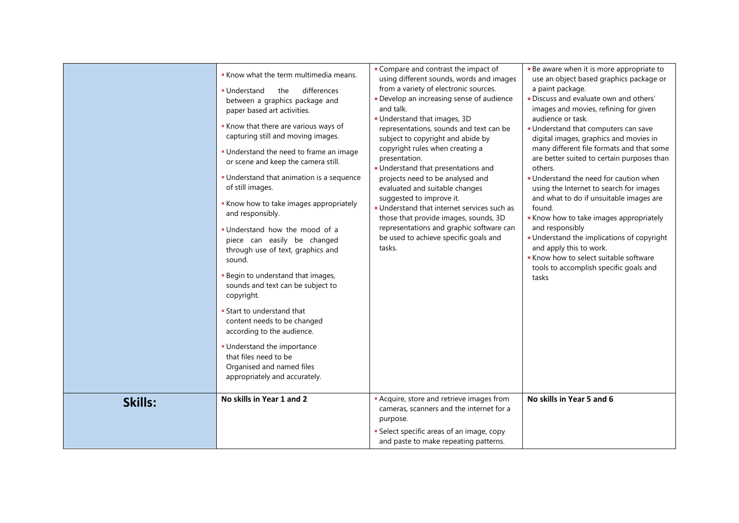|         | Know what the term multimedia means.<br>differences<br>■ Understand<br>the<br>between a graphics package and<br>paper based art activities.<br>Know that there are various ways of<br>capturing still and moving images.<br>. Understand the need to frame an image<br>or scene and keep the camera still.<br>• Understand that animation is a sequence<br>of still images.<br>Know how to take images appropriately<br>and responsibly.<br>. Understand how the mood of a<br>piece can easily be changed<br>through use of text, graphics and<br>sound.<br>Begin to understand that images,<br>sounds and text can be subject to<br>copyright.<br>• Start to understand that<br>content needs to be changed<br>according to the audience.<br>· Understand the importance<br>that files need to be<br>Organised and named files<br>appropriately and accurately. | Compare and contrast the impact of<br>using different sounds, words and images<br>from a variety of electronic sources.<br>Develop an increasing sense of audience<br>and talk.<br>Understand that images, 3D<br>representations, sounds and text can be<br>subject to copyright and abide by<br>copyright rules when creating a<br>presentation.<br>Understand that presentations and<br>projects need to be analysed and<br>evaluated and suitable changes<br>suggested to improve it.<br>Understand that internet services such as<br>those that provide images, sounds, 3D<br>representations and graphic software can<br>be used to achieve specific goals and<br>tasks. | Be aware when it is more appropriate to<br>use an object based graphics package or<br>a paint package.<br>· Discuss and evaluate own and others'<br>images and movies, refining for given<br>audience or task.<br>Understand that computers can save<br>digital images, graphics and movies in<br>many different file formats and that some<br>are better suited to certain purposes than<br>others.<br>Understand the need for caution when<br>using the Internet to search for images<br>and what to do if unsuitable images are<br>found.<br>Know how to take images appropriately<br>and responsibly<br>• Understand the implications of copyright<br>and apply this to work.<br>Know how to select suitable software<br>tools to accomplish specific goals and<br>tasks |
|---------|------------------------------------------------------------------------------------------------------------------------------------------------------------------------------------------------------------------------------------------------------------------------------------------------------------------------------------------------------------------------------------------------------------------------------------------------------------------------------------------------------------------------------------------------------------------------------------------------------------------------------------------------------------------------------------------------------------------------------------------------------------------------------------------------------------------------------------------------------------------|-------------------------------------------------------------------------------------------------------------------------------------------------------------------------------------------------------------------------------------------------------------------------------------------------------------------------------------------------------------------------------------------------------------------------------------------------------------------------------------------------------------------------------------------------------------------------------------------------------------------------------------------------------------------------------|------------------------------------------------------------------------------------------------------------------------------------------------------------------------------------------------------------------------------------------------------------------------------------------------------------------------------------------------------------------------------------------------------------------------------------------------------------------------------------------------------------------------------------------------------------------------------------------------------------------------------------------------------------------------------------------------------------------------------------------------------------------------------|
| Skills: | No skills in Year 1 and 2                                                                                                                                                                                                                                                                                                                                                                                                                                                                                                                                                                                                                                                                                                                                                                                                                                        | <b>-</b> Acquire, store and retrieve images from<br>cameras, scanners and the internet for a<br>purpose.<br>• Select specific areas of an image, copy<br>and paste to make repeating patterns.                                                                                                                                                                                                                                                                                                                                                                                                                                                                                | No skills in Year 5 and 6                                                                                                                                                                                                                                                                                                                                                                                                                                                                                                                                                                                                                                                                                                                                                    |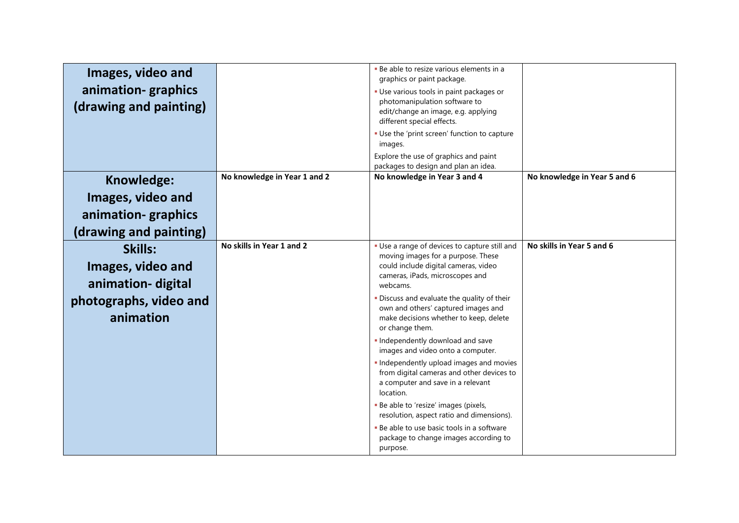| Images, video and<br>animation-graphics<br>(drawing and painting)                        |                              | . Be able to resize various elements in a<br>graphics or paint package.<br>- Use various tools in paint packages or<br>photomanipulation software to<br>edit/change an image, e.g. applying<br>different special effects.<br>. Use the 'print screen' function to capture<br>images.<br>Explore the use of graphics and paint<br>packages to design and plan an idea.                                                                                                                                                                                                                   |                              |
|------------------------------------------------------------------------------------------|------------------------------|-----------------------------------------------------------------------------------------------------------------------------------------------------------------------------------------------------------------------------------------------------------------------------------------------------------------------------------------------------------------------------------------------------------------------------------------------------------------------------------------------------------------------------------------------------------------------------------------|------------------------------|
| Knowledge:                                                                               | No knowledge in Year 1 and 2 | No knowledge in Year 3 and 4                                                                                                                                                                                                                                                                                                                                                                                                                                                                                                                                                            | No knowledge in Year 5 and 6 |
| Images, video and                                                                        |                              |                                                                                                                                                                                                                                                                                                                                                                                                                                                                                                                                                                                         |                              |
| animation-graphics                                                                       |                              |                                                                                                                                                                                                                                                                                                                                                                                                                                                                                                                                                                                         |                              |
| (drawing and painting)                                                                   |                              |                                                                                                                                                                                                                                                                                                                                                                                                                                                                                                                                                                                         |                              |
| Skills:<br>Images, video and<br>animation-digital<br>photographs, video and<br>animation | No skills in Year 1 and 2    | • Use a range of devices to capture still and<br>moving images for a purpose. These<br>could include digital cameras, video<br>cameras, iPads, microscopes and<br>webcams.<br>. Discuss and evaluate the quality of their<br>own and others' captured images and<br>make decisions whether to keep, delete<br>or change them.<br>Independently download and save<br>images and video onto a computer.<br>. Independently upload images and movies<br>from digital cameras and other devices to<br>a computer and save in a relevant<br>location.<br>Be able to 'resize' images (pixels, | No skills in Year 5 and 6    |
|                                                                                          |                              | resolution, aspect ratio and dimensions).<br>- Be able to use basic tools in a software<br>package to change images according to<br>purpose.                                                                                                                                                                                                                                                                                                                                                                                                                                            |                              |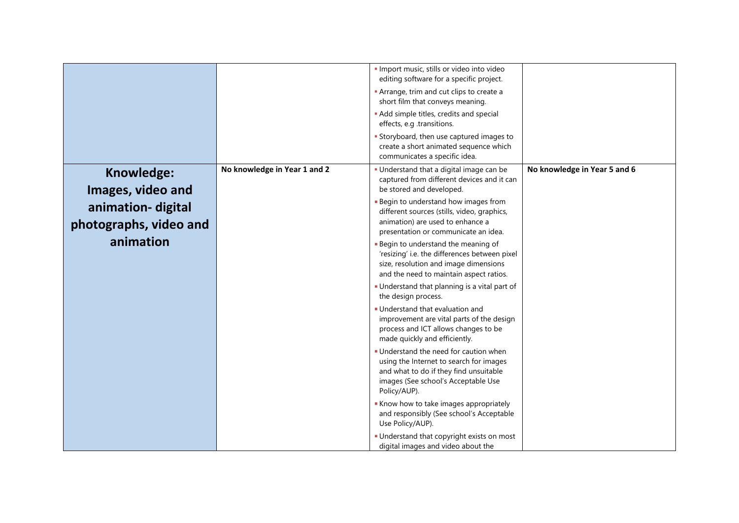|                                                                                             |                              | · Import music, stills or video into video<br>editing software for a specific project.<br>Arrange, trim and cut clips to create a<br>short film that conveys meaning.<br>• Add simple titles, credits and special<br>effects, e.g .transitions.<br>Storyboard, then use captured images to<br>create a short animated sequence which<br>communicates a specific idea.                                                                                                                                                                                                                                                                                                                                                                                                                                                                                                                                                                                                                                                                                                            |                              |
|---------------------------------------------------------------------------------------------|------------------------------|----------------------------------------------------------------------------------------------------------------------------------------------------------------------------------------------------------------------------------------------------------------------------------------------------------------------------------------------------------------------------------------------------------------------------------------------------------------------------------------------------------------------------------------------------------------------------------------------------------------------------------------------------------------------------------------------------------------------------------------------------------------------------------------------------------------------------------------------------------------------------------------------------------------------------------------------------------------------------------------------------------------------------------------------------------------------------------|------------------------------|
| Knowledge:<br>Images, video and<br>animation-digital<br>photographs, video and<br>animation | No knowledge in Year 1 and 2 | . Understand that a digital image can be<br>captured from different devices and it can<br>be stored and developed.<br>Begin to understand how images from<br>different sources (stills, video, graphics,<br>animation) are used to enhance a<br>presentation or communicate an idea.<br>Begin to understand the meaning of<br>'resizing' i.e. the differences between pixel<br>size, resolution and image dimensions<br>and the need to maintain aspect ratios.<br>Understand that planning is a vital part of<br>the design process.<br>■ Understand that evaluation and<br>improvement are vital parts of the design<br>process and ICT allows changes to be<br>made quickly and efficiently.<br>. Understand the need for caution when<br>using the Internet to search for images<br>and what to do if they find unsuitable<br>images (See school's Acceptable Use<br>Policy/AUP).<br>Know how to take images appropriately<br>and responsibly (See school's Acceptable<br>Use Policy/AUP).<br>Understand that copyright exists on most<br>digital images and video about the | No knowledge in Year 5 and 6 |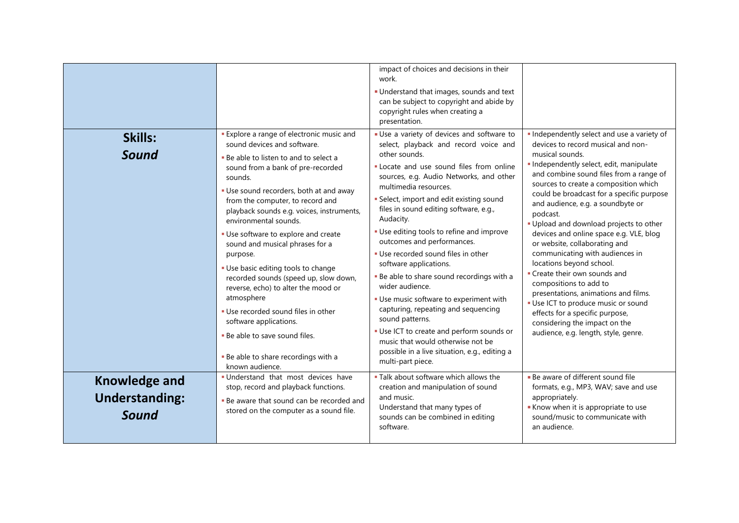| Skills:<br>Sound                                       | <b>Explore a range of electronic music and</b><br>sound devices and software.<br>. Be able to listen to and to select a<br>sound from a bank of pre-recorded<br>sounds.<br>. Use sound recorders, both at and away<br>from the computer, to record and<br>playback sounds e.g. voices, instruments,<br>environmental sounds.<br>• Use software to explore and create<br>sound and musical phrases for a<br>purpose.<br>· Use basic editing tools to change<br>recorded sounds (speed up, slow down,<br>reverse, echo) to alter the mood or<br>atmosphere<br>. Use recorded sound files in other<br>software applications.<br>. Be able to save sound files.<br>. Be able to share recordings with a<br>known audience. | impact of choices and decisions in their<br>work.<br>Understand that images, sounds and text<br>can be subject to copyright and abide by<br>copyright rules when creating a<br>presentation.<br>Use a variety of devices and software to<br>select, playback and record voice and<br>other sounds.<br>. Locate and use sound files from online<br>sources, e.g. Audio Networks, and other<br>multimedia resources.<br>· Select, import and edit existing sound<br>files in sound editing software, e.g.,<br>Audacity.<br>. Use editing tools to refine and improve<br>outcomes and performances.<br>. Use recorded sound files in other<br>software applications.<br>. Be able to share sound recordings with a<br>wider audience.<br>. Use music software to experiment with<br>capturing, repeating and sequencing<br>sound patterns.<br>. Use ICT to create and perform sounds or<br>music that would otherwise not be<br>possible in a live situation, e.g., editing a<br>multi-part piece. | · Independently select and use a variety of<br>devices to record musical and non-<br>musical sounds.<br>· Independently select, edit, manipulate<br>and combine sound files from a range of<br>sources to create a composition which<br>could be broadcast for a specific purpose<br>and audience, e.g. a soundbyte or<br>podcast.<br>. Upload and download projects to other<br>devices and online space e.g. VLE, blog<br>or website, collaborating and<br>communicating with audiences in<br>locations beyond school.<br>• Create their own sounds and<br>compositions to add to<br>presentations, animations and films.<br>· Use ICT to produce music or sound<br>effects for a specific purpose,<br>considering the impact on the<br>audience, e.g. length, style, genre. |
|--------------------------------------------------------|------------------------------------------------------------------------------------------------------------------------------------------------------------------------------------------------------------------------------------------------------------------------------------------------------------------------------------------------------------------------------------------------------------------------------------------------------------------------------------------------------------------------------------------------------------------------------------------------------------------------------------------------------------------------------------------------------------------------|-------------------------------------------------------------------------------------------------------------------------------------------------------------------------------------------------------------------------------------------------------------------------------------------------------------------------------------------------------------------------------------------------------------------------------------------------------------------------------------------------------------------------------------------------------------------------------------------------------------------------------------------------------------------------------------------------------------------------------------------------------------------------------------------------------------------------------------------------------------------------------------------------------------------------------------------------------------------------------------------------|--------------------------------------------------------------------------------------------------------------------------------------------------------------------------------------------------------------------------------------------------------------------------------------------------------------------------------------------------------------------------------------------------------------------------------------------------------------------------------------------------------------------------------------------------------------------------------------------------------------------------------------------------------------------------------------------------------------------------------------------------------------------------------|
| <b>Knowledge and</b><br><b>Understanding:</b><br>Sound | . Understand that most devices have<br>stop, record and playback functions.<br>. Be aware that sound can be recorded and<br>stored on the computer as a sound file.                                                                                                                                                                                                                                                                                                                                                                                                                                                                                                                                                    | . Talk about software which allows the<br>creation and manipulation of sound<br>and music.<br>Understand that many types of<br>sounds can be combined in editing<br>software.                                                                                                                                                                                                                                                                                                                                                                                                                                                                                                                                                                                                                                                                                                                                                                                                                   | • Be aware of different sound file<br>formats, e.g., MP3, WAV; save and use<br>appropriately.<br>Know when it is appropriate to use<br>sound/music to communicate with<br>an audience.                                                                                                                                                                                                                                                                                                                                                                                                                                                                                                                                                                                         |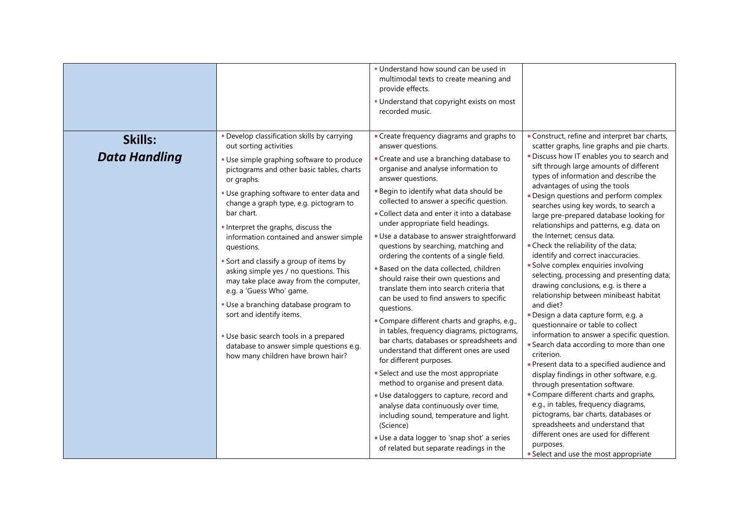|                                                                                                                                                                                                                                                                                                                                                                                                                                                                                                                                                                                                                                                                                                                                                                                                          | . Understand how sound can be used in<br>multimodal texts to create meaning and<br>provide effects.<br>• Understand that copyright exists on most<br>recorded music.                                                                                                                                                                                                                                                                                                                                                                                                                                                                                                                                                                                                                                                                                                                                                                                                                                                                                                                                                                                                                     |                                                                                                                                                                                                                                                                                                                                                                                                                                                                                                                                                                                                                                                                                                                                                                                                                                                                                                                                                                                                                                                                                                                                                                                                                                                                                                             |
|----------------------------------------------------------------------------------------------------------------------------------------------------------------------------------------------------------------------------------------------------------------------------------------------------------------------------------------------------------------------------------------------------------------------------------------------------------------------------------------------------------------------------------------------------------------------------------------------------------------------------------------------------------------------------------------------------------------------------------------------------------------------------------------------------------|------------------------------------------------------------------------------------------------------------------------------------------------------------------------------------------------------------------------------------------------------------------------------------------------------------------------------------------------------------------------------------------------------------------------------------------------------------------------------------------------------------------------------------------------------------------------------------------------------------------------------------------------------------------------------------------------------------------------------------------------------------------------------------------------------------------------------------------------------------------------------------------------------------------------------------------------------------------------------------------------------------------------------------------------------------------------------------------------------------------------------------------------------------------------------------------|-------------------------------------------------------------------------------------------------------------------------------------------------------------------------------------------------------------------------------------------------------------------------------------------------------------------------------------------------------------------------------------------------------------------------------------------------------------------------------------------------------------------------------------------------------------------------------------------------------------------------------------------------------------------------------------------------------------------------------------------------------------------------------------------------------------------------------------------------------------------------------------------------------------------------------------------------------------------------------------------------------------------------------------------------------------------------------------------------------------------------------------------------------------------------------------------------------------------------------------------------------------------------------------------------------------|
| · Develop classification skills by carrying<br>Skills:<br>out sorting activities<br><b>Data Handling</b><br>· Use simple graphing software to produce<br>pictograms and other basic tables, charts<br>or graphs.<br>. Use graphing software to enter data and<br>change a graph type, e.g. pictogram to<br>bar chart.<br>Interpret the graphs, discuss the<br>information contained and answer simple<br>questions.<br>Sort and classify a group of items by<br>asking simple yes / no questions. This<br>may take place away from the computer,<br>e.g. a 'Guess Who' game.<br>· Use a branching database program to<br>questions.<br>sort and identify items.<br>- Use basic search tools in a prepared<br>database to answer simple questions e.g.<br>how many children have brown hair?<br>(Science) | • Create frequency diagrams and graphs to<br>answer questions.<br>Create and use a branching database to<br>organise and analyse information to<br>answer questions.<br><b>Begin to identify what data should be</b><br>collected to answer a specific question.<br>Collect data and enter it into a database<br>under appropriate field headings.<br>Use a database to answer straightforward<br>questions by searching, matching and<br>ordering the contents of a single field.<br><b>Based on the data collected, children</b><br>should raise their own questions and<br>translate them into search criteria that<br>can be used to find answers to specific<br>" Compare different charts and graphs, e.g.,<br>in tables, frequency diagrams, pictograms,<br>bar charts, databases or spreadsheets and<br>understand that different ones are used<br>for different purposes.<br>• Select and use the most appropriate<br>method to organise and present data.<br>Use dataloggers to capture, record and<br>analyse data continuously over time,<br>including sound, temperature and light.<br>Use a data logger to 'snap shot' a series<br>of related but separate readings in the | Construct, refine and interpret bar charts,<br>scatter graphs, line graphs and pie charts.<br>. Discuss how IT enables you to search and<br>sift through large amounts of different<br>types of information and describe the<br>advantages of using the tools<br>- Design questions and perform complex<br>searches using key words, to search a<br>large pre-prepared database looking for<br>relationships and patterns, e.g. data on<br>the Internet; census data.<br>• Check the reliability of the data;<br>identify and correct inaccuracies.<br>Solve complex enquiries involving<br>selecting, processing and presenting data;<br>drawing conclusions, e.g. is there a<br>relationship between minibeast habitat<br>and diet?<br>Design a data capture form, e.g. a<br>questionnaire or table to collect<br>information to answer a specific question.<br>Search data according to more than one<br>criterion.<br>Present data to a specified audience and<br>display findings in other software, e.g.<br>through presentation software.<br>• Compare different charts and graphs,<br>e.g., in tables, frequency diagrams,<br>pictograms, bar charts, databases or<br>spreadsheets and understand that<br>different ones are used for different<br>purposes.<br>Select and use the most appropriate |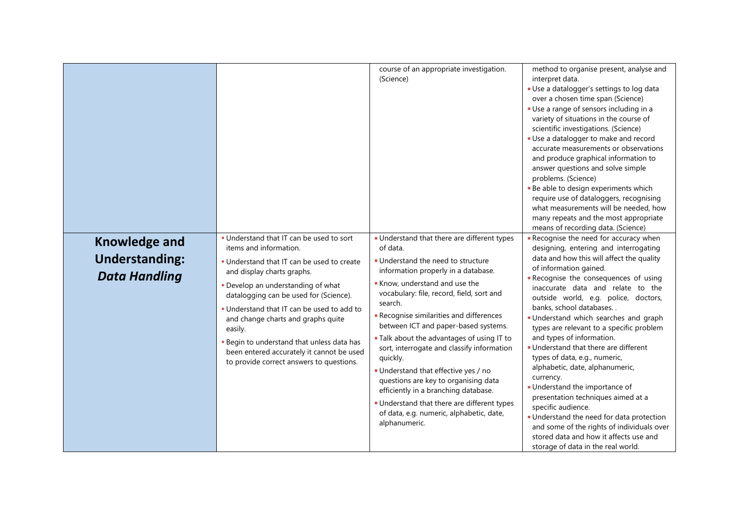|                                                                       |                                                                                                                                                                                                                                                                                                                                                                                                                                                                             | course of an appropriate investigation.<br>(Science)                                                                                                                                                                                                                                                                                                                                                                                                                                                                                                                                                                                                     | method to organise present, analyse and<br>interpret data.<br>Use a datalogger's settings to log data<br>over a chosen time span (Science)<br>Use a range of sensors including in a<br>variety of situations in the course of<br>scientific investigations. (Science)<br>Use a datalogger to make and record<br>accurate measurements or observations<br>and produce graphical information to<br>answer questions and solve simple<br>problems. (Science)<br>- Be able to design experiments which<br>require use of dataloggers, recognising<br>what measurements will be needed, how<br>many repeats and the most appropriate<br>means of recording data. (Science)                                                                                                                                              |
|-----------------------------------------------------------------------|-----------------------------------------------------------------------------------------------------------------------------------------------------------------------------------------------------------------------------------------------------------------------------------------------------------------------------------------------------------------------------------------------------------------------------------------------------------------------------|----------------------------------------------------------------------------------------------------------------------------------------------------------------------------------------------------------------------------------------------------------------------------------------------------------------------------------------------------------------------------------------------------------------------------------------------------------------------------------------------------------------------------------------------------------------------------------------------------------------------------------------------------------|--------------------------------------------------------------------------------------------------------------------------------------------------------------------------------------------------------------------------------------------------------------------------------------------------------------------------------------------------------------------------------------------------------------------------------------------------------------------------------------------------------------------------------------------------------------------------------------------------------------------------------------------------------------------------------------------------------------------------------------------------------------------------------------------------------------------|
| <b>Knowledge and</b><br><b>Understanding:</b><br><b>Data Handling</b> | . Understand that IT can be used to sort<br>items and information.<br>. Understand that IT can be used to create<br>and display charts graphs.<br>. Develop an understanding of what<br>datalogging can be used for (Science).<br>. Understand that IT can be used to add to<br>and change charts and graphs quite<br>easily.<br><b>- Begin to understand that unless data has</b><br>been entered accurately it cannot be used<br>to provide correct answers to questions. | · Understand that there are different types<br>of data.<br>. Understand the need to structure<br>information properly in a database.<br>Know, understand and use the<br>vocabulary: file, record, field, sort and<br>search.<br>Recognise similarities and differences<br>between ICT and paper-based systems.<br>. Talk about the advantages of using IT to<br>sort, interrogate and classify information<br>quickly.<br>Understand that effective yes / no<br>questions are key to organising data<br>efficiently in a branching database.<br>• Understand that there are different types<br>of data, e.g. numeric, alphabetic, date,<br>alphanumeric. | Recognise the need for accuracy when<br>designing, entering and interrogating<br>data and how this will affect the quality<br>of information gained.<br>Recognise the consequences of using<br>inaccurate data and relate to the<br>outside world, e.g. police, doctors,<br>banks, school databases<br>Understand which searches and graph<br>types are relevant to a specific problem<br>and types of information.<br>Understand that there are different<br>types of data, e.g., numeric,<br>alphabetic, date, alphanumeric,<br>currency.<br>· Understand the importance of<br>presentation techniques aimed at a<br>specific audience.<br>Understand the need for data protection<br>and some of the rights of individuals over<br>stored data and how it affects use and<br>storage of data in the real world. |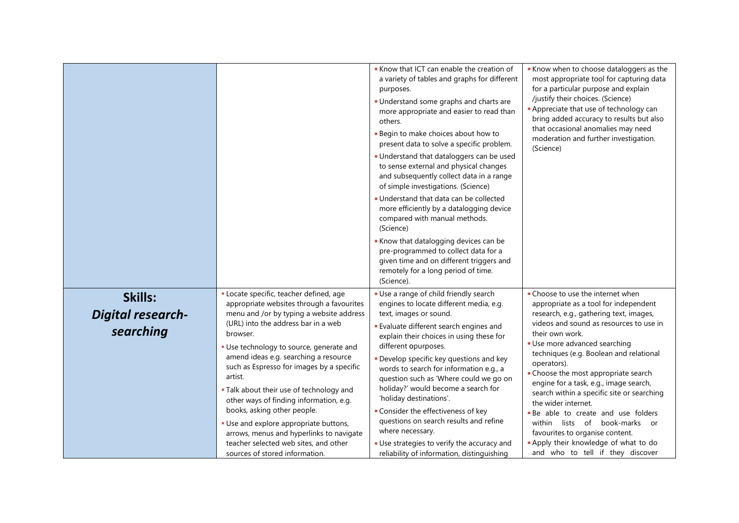|                                                  |                                                                                                                                                                                                                                                                                                                                                                                                                                                                                                                                                                                                                         | Know that ICT can enable the creation of<br>a variety of tables and graphs for different<br>purposes.<br>Understand some graphs and charts are<br>more appropriate and easier to read than<br>others.<br><b>Begin to make choices about how to</b><br>present data to solve a specific problem.<br>Understand that dataloggers can be used<br>to sense external and physical changes<br>and subsequently collect data in a range<br>of simple investigations. (Science)<br>Understand that data can be collected<br>more efficiently by a datalogging device<br>compared with manual methods.<br>(Science)<br>Know that datalogging devices can be<br>pre-programmed to collect data for a<br>given time and on different triggers and<br>remotely for a long period of time.<br>(Science). | Know when to choose dataloggers as the<br>most appropriate tool for capturing data<br>for a particular purpose and explain<br>/justify their choices. (Science)<br>- Appreciate that use of technology can<br>bring added accuracy to results but also<br>that occasional anomalies may need<br>moderation and further investigation.<br>(Science)                                                                                                                                                                                                                                                                          |
|--------------------------------------------------|-------------------------------------------------------------------------------------------------------------------------------------------------------------------------------------------------------------------------------------------------------------------------------------------------------------------------------------------------------------------------------------------------------------------------------------------------------------------------------------------------------------------------------------------------------------------------------------------------------------------------|---------------------------------------------------------------------------------------------------------------------------------------------------------------------------------------------------------------------------------------------------------------------------------------------------------------------------------------------------------------------------------------------------------------------------------------------------------------------------------------------------------------------------------------------------------------------------------------------------------------------------------------------------------------------------------------------------------------------------------------------------------------------------------------------|-----------------------------------------------------------------------------------------------------------------------------------------------------------------------------------------------------------------------------------------------------------------------------------------------------------------------------------------------------------------------------------------------------------------------------------------------------------------------------------------------------------------------------------------------------------------------------------------------------------------------------|
| Skills:<br><b>Digital research-</b><br>searching | · Locate specific, teacher defined, age<br>appropriate websites through a favourites<br>menu and /or by typing a website address<br>(URL) into the address bar in a web<br>browser.<br>· Use technology to source, generate and<br>amend ideas e.g. searching a resource<br>such as Espresso for images by a specific<br>artist.<br>. Talk about their use of technology and<br>other ways of finding information, e.g.<br>books, asking other people.<br>· Use and explore appropriate buttons,<br>arrows, menus and hyperlinks to navigate<br>teacher selected web sites, and other<br>sources of stored information. | Use a range of child friendly search<br>engines to locate different media, e.g.<br>text, images or sound.<br><b>Evaluate different search engines and</b><br>explain their choices in using these for<br>different opurposes.<br>Develop specific key questions and key<br>words to search for information e.g., a<br>question such as 'Where could we go on<br>holiday?' would become a search for<br>'holiday destinations'.<br>Consider the effectiveness of key<br>questions on search results and refine<br>where necessary.<br>Use strategies to verify the accuracy and<br>reliability of information, distinguishing                                                                                                                                                                | • Choose to use the internet when<br>appropriate as a tool for independent<br>research, e.g., gathering text, images,<br>videos and sound as resources to use in<br>their own work.<br>Use more advanced searching<br>techniques (e.g. Boolean and relational<br>operators).<br>• Choose the most appropriate search<br>engine for a task, e.g., image search,<br>search within a specific site or searching<br>the wider internet.<br>- Be able to create and use folders<br>within lists of book-marks or<br>favourites to organise content.<br>- Apply their knowledge of what to do<br>and who to tell if they discover |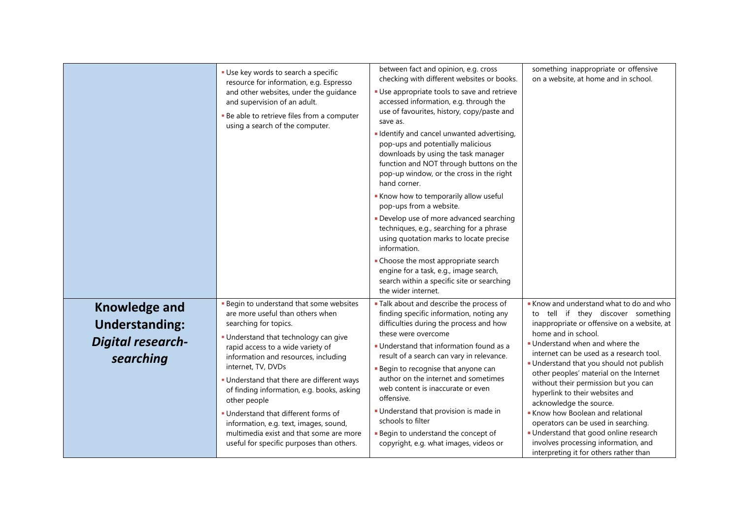|                                                                                        | · Use key words to search a specific<br>resource for information, e.g. Espresso<br>and other websites, under the guidance<br>and supervision of an adult.<br>- Be able to retrieve files from a computer<br>using a search of the computer.                                                                                                                                                                                                                                                                                             | between fact and opinion, e.g. cross<br>checking with different websites or books.<br>• Use appropriate tools to save and retrieve<br>accessed information, e.g. through the<br>use of favourites, history, copy/paste and<br>save as.<br>I Identify and cancel unwanted advertising,<br>pop-ups and potentially malicious<br>downloads by using the task manager<br>function and NOT through buttons on the<br>pop-up window, or the cross in the right<br>hand corner.<br>Know how to temporarily allow useful<br>pop-ups from a website.<br>Develop use of more advanced searching<br>techniques, e.g., searching for a phrase<br>using quotation marks to locate precise<br>information.<br>• Choose the most appropriate search<br>engine for a task, e.g., image search,<br>search within a specific site or searching<br>the wider internet. | something inappropriate or offensive<br>on a website, at home and in school.                                                                                                                                                                                                                                                                                                                                                                                                                                                                                                                                                       |
|----------------------------------------------------------------------------------------|-----------------------------------------------------------------------------------------------------------------------------------------------------------------------------------------------------------------------------------------------------------------------------------------------------------------------------------------------------------------------------------------------------------------------------------------------------------------------------------------------------------------------------------------|-----------------------------------------------------------------------------------------------------------------------------------------------------------------------------------------------------------------------------------------------------------------------------------------------------------------------------------------------------------------------------------------------------------------------------------------------------------------------------------------------------------------------------------------------------------------------------------------------------------------------------------------------------------------------------------------------------------------------------------------------------------------------------------------------------------------------------------------------------|------------------------------------------------------------------------------------------------------------------------------------------------------------------------------------------------------------------------------------------------------------------------------------------------------------------------------------------------------------------------------------------------------------------------------------------------------------------------------------------------------------------------------------------------------------------------------------------------------------------------------------|
| <b>Knowledge and</b><br><b>Understanding:</b><br><b>Digital research-</b><br>searching | - Begin to understand that some websites<br>are more useful than others when<br>searching for topics.<br>. Understand that technology can give<br>rapid access to a wide variety of<br>information and resources, including<br>internet, TV, DVDs<br>. Understand that there are different ways<br>of finding information, e.g. books, asking<br>other people<br>. Understand that different forms of<br>information, e.g. text, images, sound,<br>multimedia exist and that some are more<br>useful for specific purposes than others. | <b>Talk about and describe the process of</b><br>finding specific information, noting any<br>difficulties during the process and how<br>these were overcome<br>• Understand that information found as a<br>result of a search can vary in relevance.<br><b>Begin to recognise that anyone can</b><br>author on the internet and sometimes<br>web content is inaccurate or even<br>offensive.<br>Understand that provision is made in<br>schools to filter<br><b>Begin to understand the concept of</b><br>copyright, e.g. what images, videos or                                                                                                                                                                                                                                                                                                    | Know and understand what to do and who<br>to tell if they discover something<br>inappropriate or offensive on a website, at<br>home and in school.<br>. Understand when and where the<br>internet can be used as a research tool.<br>- Understand that you should not publish<br>other peoples' material on the Internet<br>without their permission but you can<br>hyperlink to their websites and<br>acknowledge the source.<br>Know how Boolean and relational<br>operators can be used in searching.<br>Understand that good online research<br>involves processing information, and<br>interpreting it for others rather than |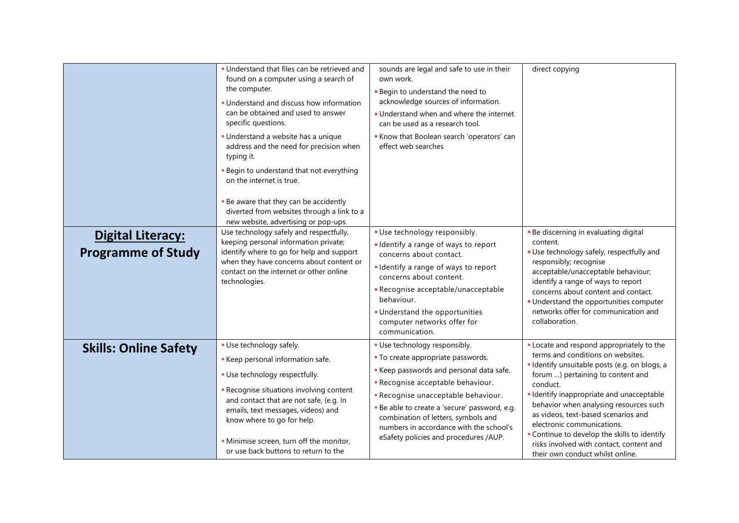| <b>Digital Literacy:</b>     | · Understand that files can be retrieved and<br>found on a computer using a search of<br>the computer.<br>. Understand and discuss how information<br>can be obtained and used to answer<br>specific questions.<br>· Understand a website has a unique<br>address and the need for precision when<br>typing it.<br>- Begin to understand that not everything<br>on the internet is true.<br>- Be aware that they can be accidently<br>diverted from websites through a link to a<br>new website, advertising or pop-ups.<br>Use technology safely and respectfully,<br>keeping personal information private; | sounds are legal and safe to use in their<br>own work.<br><b>Begin to understand the need to</b><br>acknowledge sources of information.<br>Understand when and where the internet<br>can be used as a research tool.<br>Know that Boolean search 'operators' can<br>effect web searches<br>Use technology responsibly.<br>I Identify a range of ways to report        | direct copying<br>• Be discerning in evaluating digital<br>content.                                                                                                                                                                                                                                                                                                                                                                                                        |
|------------------------------|--------------------------------------------------------------------------------------------------------------------------------------------------------------------------------------------------------------------------------------------------------------------------------------------------------------------------------------------------------------------------------------------------------------------------------------------------------------------------------------------------------------------------------------------------------------------------------------------------------------|-----------------------------------------------------------------------------------------------------------------------------------------------------------------------------------------------------------------------------------------------------------------------------------------------------------------------------------------------------------------------|----------------------------------------------------------------------------------------------------------------------------------------------------------------------------------------------------------------------------------------------------------------------------------------------------------------------------------------------------------------------------------------------------------------------------------------------------------------------------|
| <b>Programme of Study</b>    | identify where to go for help and support<br>when they have concerns about content or<br>contact on the internet or other online<br>technologies.                                                                                                                                                                                                                                                                                                                                                                                                                                                            | concerns about contact.<br>I Identify a range of ways to report<br>concerns about content.<br>- Recognise acceptable/unacceptable<br>behaviour.<br>Understand the opportunities<br>computer networks offer for<br>communication.                                                                                                                                      | Use technology safely, respectfully and<br>responsibly; recognise<br>acceptable/unacceptable behaviour;<br>identify a range of ways to report<br>concerns about content and contact.<br>• Understand the opportunities computer<br>networks offer for communication and<br>collaboration.                                                                                                                                                                                  |
| <b>Skills: Online Safety</b> | · Use technology safely.<br>Keep personal information safe.<br>· Use technology respectfully.<br>- Recognise situations involving content<br>and contact that are not safe, (e.g. In<br>emails, text messages, videos) and<br>know where to go for help.<br>· Minimise screen, turn off the monitor,<br>or use back buttons to return to the                                                                                                                                                                                                                                                                 | · Use technology responsibly.<br>• To create appropriate passwords.<br>Keep passwords and personal data safe.<br>- Recognise acceptable behaviour.<br>- Recognise unacceptable behaviour.<br>- Be able to create a 'secure' password, e.g.<br>combination of letters, symbols and<br>numbers in accordance with the school's<br>eSafety policies and procedures /AUP. | Locate and respond appropriately to the<br>terms and conditions on websites.<br>· Identify unsuitable posts (e.g. on blogs, a<br>forum ) pertaining to content and<br>conduct.<br>· Identify inappropriate and unacceptable<br>behavior when analysing resources such<br>as videos, text-based scenarios and<br>electronic communications.<br>• Continue to develop the skills to identify<br>risks involved with contact, content and<br>their own conduct whilst online. |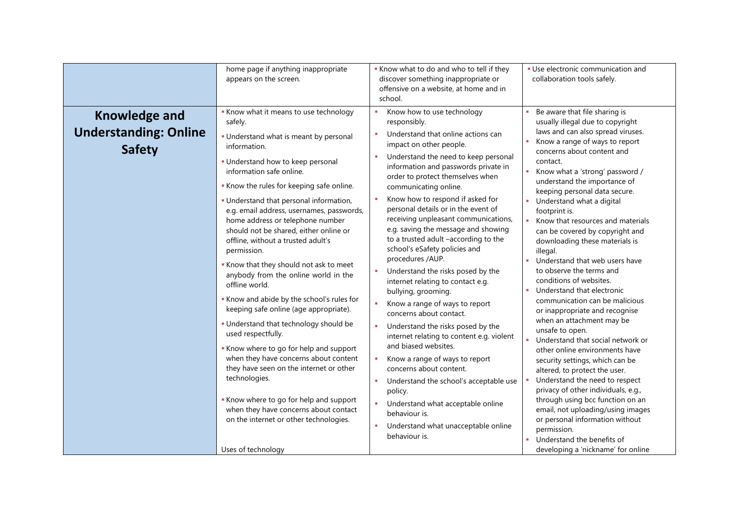|                                                                       | home page if anything inappropriate<br>appears on the screen.                                                                                                                                                                                                                                                                                                                                                                                                                                                                                                                                                                                                                                                                                                                                                                                                                                                                                                                       | Know what to do and who to tell if they<br>discover something inappropriate or<br>offensive on a website, at home and in<br>school.                                                                                                                                                                                                                                                                                                                                                                                                                                                                                                                                                                                                                                                                                                                                                                                                                                                                                                                             | · Use electronic communication and<br>collaboration tools safely.                                                                                                                                                                                                                                                                                                                                                                                                                                                                                                                                                                                                                                                                                                                                                                                                                                                                                                                                                                                                                  |
|-----------------------------------------------------------------------|-------------------------------------------------------------------------------------------------------------------------------------------------------------------------------------------------------------------------------------------------------------------------------------------------------------------------------------------------------------------------------------------------------------------------------------------------------------------------------------------------------------------------------------------------------------------------------------------------------------------------------------------------------------------------------------------------------------------------------------------------------------------------------------------------------------------------------------------------------------------------------------------------------------------------------------------------------------------------------------|-----------------------------------------------------------------------------------------------------------------------------------------------------------------------------------------------------------------------------------------------------------------------------------------------------------------------------------------------------------------------------------------------------------------------------------------------------------------------------------------------------------------------------------------------------------------------------------------------------------------------------------------------------------------------------------------------------------------------------------------------------------------------------------------------------------------------------------------------------------------------------------------------------------------------------------------------------------------------------------------------------------------------------------------------------------------|------------------------------------------------------------------------------------------------------------------------------------------------------------------------------------------------------------------------------------------------------------------------------------------------------------------------------------------------------------------------------------------------------------------------------------------------------------------------------------------------------------------------------------------------------------------------------------------------------------------------------------------------------------------------------------------------------------------------------------------------------------------------------------------------------------------------------------------------------------------------------------------------------------------------------------------------------------------------------------------------------------------------------------------------------------------------------------|
| <b>Knowledge and</b><br><b>Understanding: Online</b><br><b>Safety</b> | Know what it means to use technology<br>safely.<br>- Understand what is meant by personal<br>information.<br>- Understand how to keep personal<br>information safe online.<br>Know the rules for keeping safe online.<br>· Understand that personal information,<br>e.g. email address, usernames, passwords,<br>home address or telephone number<br>should not be shared, either online or<br>offline, without a trusted adult's<br>permission.<br>Know that they should not ask to meet<br>anybody from the online world in the<br>offline world.<br>Know and abide by the school's rules for<br>keeping safe online (age appropriate).<br>. Understand that technology should be<br>used respectfully.<br>Know where to go for help and support<br>when they have concerns about content<br>they have seen on the internet or other<br>technologies.<br>Know where to go for help and support<br>when they have concerns about contact<br>on the internet or other technologies. | Know how to use technology<br>×.<br>responsibly.<br>Understand that online actions can<br>×.<br>impact on other people.<br>Understand the need to keep personal<br>information and passwords private in<br>order to protect themselves when<br>communicating online.<br>Know how to respond if asked for<br>personal details or in the event of<br>receiving unpleasant communications,<br>e.g. saving the message and showing<br>to a trusted adult -according to the<br>school's eSafety policies and<br>procedures /AUP.<br>×.<br>Understand the risks posed by the<br>internet relating to contact e.g.<br>bullying, grooming.<br>×.<br>Know a range of ways to report<br>concerns about contact.<br>Understand the risks posed by the<br>internet relating to content e.g. violent<br>and biased websites.<br>Know a range of ways to report<br>×<br>concerns about content.<br>Understand the school's acceptable use<br>×<br>policy.<br>×.<br>Understand what acceptable online<br>behaviour is.<br>Understand what unacceptable online<br>behaviour is. | Be aware that file sharing is<br>usually illegal due to copyright<br>laws and can also spread viruses.<br>Know a range of ways to report<br>concerns about content and<br>contact.<br>Know what a 'strong' password /<br>understand the importance of<br>keeping personal data secure.<br>Understand what a digital<br>footprint is.<br>Know that resources and materials<br>can be covered by copyright and<br>downloading these materials is<br>illegal.<br>Understand that web users have<br>to observe the terms and<br>conditions of websites.<br>Understand that electronic<br>communication can be malicious<br>or inappropriate and recognise<br>when an attachment may be<br>unsafe to open.<br>Understand that social network or<br>other online environments have<br>security settings, which can be<br>altered, to protect the user.<br>Understand the need to respect<br>privacy of other individuals, e.g.,<br>through using bcc function on an<br>email, not uploading/using images<br>or personal information without<br>permission.<br>Understand the benefits of |
|                                                                       | Uses of technology                                                                                                                                                                                                                                                                                                                                                                                                                                                                                                                                                                                                                                                                                                                                                                                                                                                                                                                                                                  |                                                                                                                                                                                                                                                                                                                                                                                                                                                                                                                                                                                                                                                                                                                                                                                                                                                                                                                                                                                                                                                                 | developing a 'nickname' for online                                                                                                                                                                                                                                                                                                                                                                                                                                                                                                                                                                                                                                                                                                                                                                                                                                                                                                                                                                                                                                                 |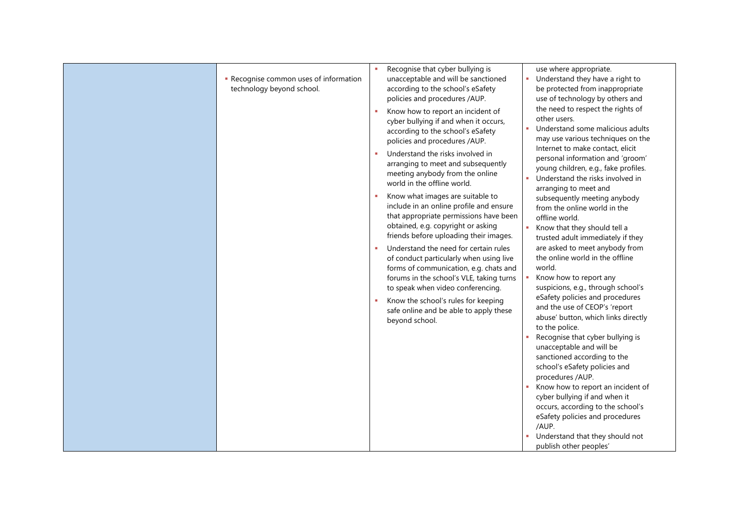| Recognise common uses of information<br>technology beyond school. | Recognise that cyber bullying is<br>use where appropriate.<br>×.<br>unacceptable and will be sanctioned<br>Understand they have a right to<br>u.<br>according to the school's eSafety<br>be protected from inappropriate<br>policies and procedures /AUP.<br>use of technology by others and<br>the need to respect the rights of<br>Know how to report an incident of<br>other users.<br>cyber bullying if and when it occurs,<br>Understand some malicious adults<br>according to the school's eSafety<br>may use various techniques on the<br>policies and procedures /AUP.<br>Internet to make contact, elicit<br>Understand the risks involved in<br>personal information and 'groom'<br>arranging to meet and subsequently<br>young children, e.g., fake profiles.<br>meeting anybody from the online<br>Understand the risks involved in<br>world in the offline world.<br>arranging to meet and<br>Know what images are suitable to<br>х.<br>subsequently meeting anybody<br>include in an online profile and ensure<br>from the online world in the<br>that appropriate permissions have been<br>offline world.<br>obtained, e.g. copyright or asking<br>Know that they should tell a<br>a.<br>friends before uploading their images.<br>trusted adult immediately if they<br>are asked to meet anybody from<br>Understand the need for certain rules<br>the online world in the offline<br>of conduct particularly when using live<br>world.<br>forms of communication, e.g. chats and<br>Know how to report any<br>forums in the school's VLE, taking turns<br>suspicions, e.g., through school's<br>to speak when video conferencing.<br>eSafety policies and procedures<br>Know the school's rules for keeping<br>х.<br>and the use of CEOP's 'report<br>safe online and be able to apply these<br>abuse' button, which links directly<br>beyond school.<br>to the police.<br>Recognise that cyber bullying is |
|-------------------------------------------------------------------|-----------------------------------------------------------------------------------------------------------------------------------------------------------------------------------------------------------------------------------------------------------------------------------------------------------------------------------------------------------------------------------------------------------------------------------------------------------------------------------------------------------------------------------------------------------------------------------------------------------------------------------------------------------------------------------------------------------------------------------------------------------------------------------------------------------------------------------------------------------------------------------------------------------------------------------------------------------------------------------------------------------------------------------------------------------------------------------------------------------------------------------------------------------------------------------------------------------------------------------------------------------------------------------------------------------------------------------------------------------------------------------------------------------------------------------------------------------------------------------------------------------------------------------------------------------------------------------------------------------------------------------------------------------------------------------------------------------------------------------------------------------------------------------------------------------------------------------------------------------------------------------------------------------------------------|
|                                                                   | unacceptable and will be<br>sanctioned according to the<br>school's eSafety policies and<br>procedures /AUP.<br>Know how to report an incident of<br>cyber bullying if and when it<br>occurs, according to the school's<br>eSafety policies and procedures<br>/AUP.<br>Understand that they should not<br>publish other peoples'                                                                                                                                                                                                                                                                                                                                                                                                                                                                                                                                                                                                                                                                                                                                                                                                                                                                                                                                                                                                                                                                                                                                                                                                                                                                                                                                                                                                                                                                                                                                                                                            |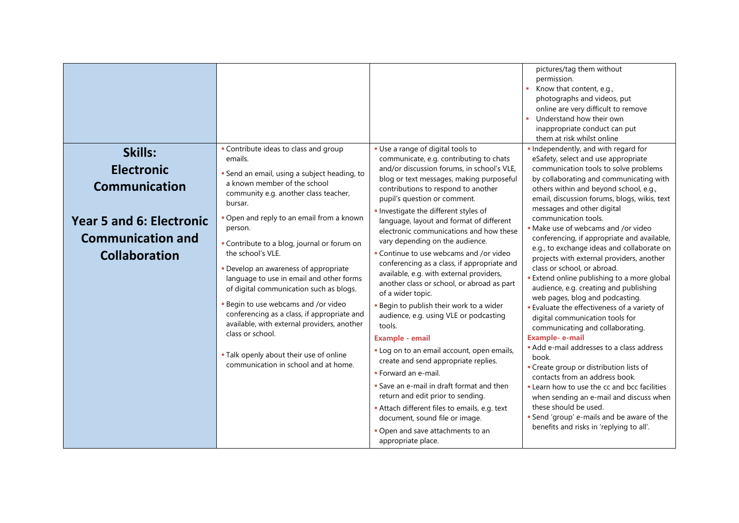|                                                                                                                                             |                                                                                                                                                                                                                                                                                                                                                                                                                                                                                                                                                                                                                                                                                               |                                                                                                                                                                                                                                                                                                                                                                                                                                                                                                                                                                                                                                                                                                                                                                                                                                                                                                                                                                                                                                                                                             | pictures/tag them without<br>permission.<br>Know that content, e.g.,<br>×<br>photographs and videos, put<br>online are very difficult to remove<br>Understand how their own<br>inappropriate conduct can put<br>them at risk whilst online                                                                                                                                                                                                                                                                                                                                                                                                                                                                                                                                                                                                                                                                                                                                                                                                                                                                                                               |
|---------------------------------------------------------------------------------------------------------------------------------------------|-----------------------------------------------------------------------------------------------------------------------------------------------------------------------------------------------------------------------------------------------------------------------------------------------------------------------------------------------------------------------------------------------------------------------------------------------------------------------------------------------------------------------------------------------------------------------------------------------------------------------------------------------------------------------------------------------|---------------------------------------------------------------------------------------------------------------------------------------------------------------------------------------------------------------------------------------------------------------------------------------------------------------------------------------------------------------------------------------------------------------------------------------------------------------------------------------------------------------------------------------------------------------------------------------------------------------------------------------------------------------------------------------------------------------------------------------------------------------------------------------------------------------------------------------------------------------------------------------------------------------------------------------------------------------------------------------------------------------------------------------------------------------------------------------------|----------------------------------------------------------------------------------------------------------------------------------------------------------------------------------------------------------------------------------------------------------------------------------------------------------------------------------------------------------------------------------------------------------------------------------------------------------------------------------------------------------------------------------------------------------------------------------------------------------------------------------------------------------------------------------------------------------------------------------------------------------------------------------------------------------------------------------------------------------------------------------------------------------------------------------------------------------------------------------------------------------------------------------------------------------------------------------------------------------------------------------------------------------|
| Skills:<br><b>Electronic</b><br><b>Communication</b><br><b>Year 5 and 6: Electronic</b><br><b>Communication and</b><br><b>Collaboration</b> | • Contribute ideas to class and group<br>emails.<br>· Send an email, using a subject heading, to<br>a known member of the school<br>community e.g. another class teacher,<br>bursar.<br>. Open and reply to an email from a known<br>person.<br>• Contribute to a blog, journal or forum on<br>the school's VLE.<br>• Develop an awareness of appropriate<br>language to use in email and other forms<br>of digital communication such as blogs.<br>- Begin to use webcams and /or video<br>conferencing as a class, if appropriate and<br>available, with external providers, another<br>class or school.<br>. Talk openly about their use of online<br>communication in school and at home. | · Use a range of digital tools to<br>communicate, e.g. contributing to chats<br>and/or discussion forums, in school's VLE,<br>blog or text messages, making purposeful<br>contributions to respond to another<br>pupil's question or comment.<br>Investigate the different styles of<br>language, layout and format of different<br>electronic communications and how these<br>vary depending on the audience.<br>- Continue to use webcams and /or video<br>conferencing as a class, if appropriate and<br>available, e.g. with external providers,<br>another class or school, or abroad as part<br>of a wider topic.<br>- Begin to publish their work to a wider<br>audience, e.g. using VLE or podcasting<br>tools.<br><b>Example - email</b><br>. Log on to an email account, open emails,<br>create and send appropriate replies.<br>· Forward an e-mail.<br>Save an e-mail in draft format and then<br>return and edit prior to sending.<br>Attach different files to emails, e.g. text<br>document, sound file or image.<br>• Open and save attachments to an<br>appropriate place. | Independently, and with regard for<br>eSafety, select and use appropriate<br>communication tools to solve problems<br>by collaborating and communicating with<br>others within and beyond school, e.g.,<br>email, discussion forums, blogs, wikis, text<br>messages and other digital<br>communication tools.<br>• Make use of webcams and /or video<br>conferencing, if appropriate and available,<br>e.g., to exchange ideas and collaborate on<br>projects with external providers, another<br>class or school, or abroad.<br>Extend online publishing to a more global<br>audience, e.g. creating and publishing<br>web pages, blog and podcasting.<br><b>Evaluate the effectiveness of a variety of</b><br>digital communication tools for<br>communicating and collaborating.<br><b>Example- e-mail</b><br>Add e-mail addresses to a class address<br>book.<br>• Create group or distribution lists of<br>contacts from an address book.<br>Learn how to use the cc and bcc facilities<br>when sending an e-mail and discuss when<br>these should be used.<br>Send 'group' e-mails and be aware of the<br>benefits and risks in 'replying to all'. |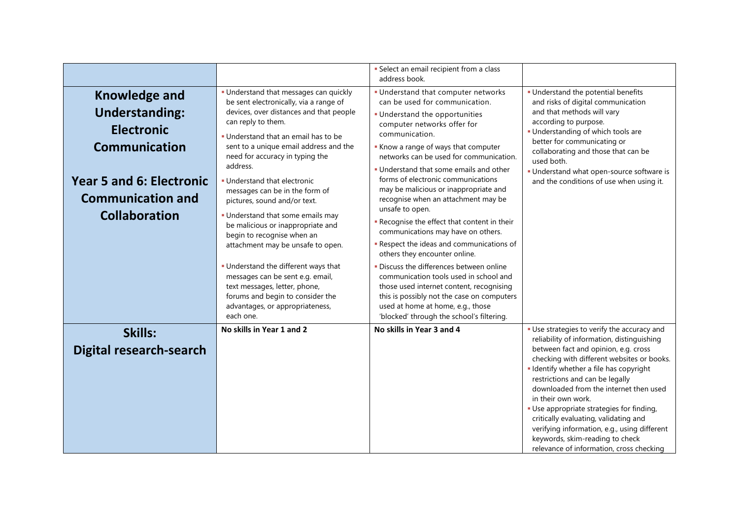|                                                                                                                                                                                   |                                                                                                                                                                                                                                                                                                                                                                                                                                                                                                                                                                                                                                                                                                                                    | · Select an email recipient from a class<br>address book.                                                                                                                                                                                                                                                                                                                                                                                                                                                                                                                                                                                                                                                                                                                                                                                                         |                                                                                                                                                                                                                                                                                                                                                                                                                     |
|-----------------------------------------------------------------------------------------------------------------------------------------------------------------------------------|------------------------------------------------------------------------------------------------------------------------------------------------------------------------------------------------------------------------------------------------------------------------------------------------------------------------------------------------------------------------------------------------------------------------------------------------------------------------------------------------------------------------------------------------------------------------------------------------------------------------------------------------------------------------------------------------------------------------------------|-------------------------------------------------------------------------------------------------------------------------------------------------------------------------------------------------------------------------------------------------------------------------------------------------------------------------------------------------------------------------------------------------------------------------------------------------------------------------------------------------------------------------------------------------------------------------------------------------------------------------------------------------------------------------------------------------------------------------------------------------------------------------------------------------------------------------------------------------------------------|---------------------------------------------------------------------------------------------------------------------------------------------------------------------------------------------------------------------------------------------------------------------------------------------------------------------------------------------------------------------------------------------------------------------|
| <b>Knowledge and</b><br><b>Understanding:</b><br><b>Electronic</b><br><b>Communication</b><br><b>Year 5 and 6: Electronic</b><br><b>Communication and</b><br><b>Collaboration</b> | · Understand that messages can quickly<br>be sent electronically, via a range of<br>devices, over distances and that people<br>can reply to them.<br>. Understand that an email has to be<br>sent to a unique email address and the<br>need for accuracy in typing the<br>address.<br>. Understand that electronic<br>messages can be in the form of<br>pictures, sound and/or text.<br>. Understand that some emails may<br>be malicious or inappropriate and<br>begin to recognise when an<br>attachment may be unsafe to open.<br>. Understand the different ways that<br>messages can be sent e.g. email,<br>text messages, letter, phone,<br>forums and begin to consider the<br>advantages, or appropriateness,<br>each one. | . Understand that computer networks<br>can be used for communication.<br>· Understand the opportunities<br>computer networks offer for<br>communication.<br>Know a range of ways that computer<br>networks can be used for communication.<br>. Understand that some emails and other<br>forms of electronic communications<br>may be malicious or inappropriate and<br>recognise when an attachment may be<br>unsafe to open.<br>Recognise the effect that content in their<br>communications may have on others.<br>- Respect the ideas and communications of<br>others they encounter online.<br>· Discuss the differences between online<br>communication tools used in school and<br>those used internet content, recognising<br>this is possibly not the case on computers<br>used at home at home, e.g., those<br>'blocked' through the school's filtering. | · Understand the potential benefits<br>and risks of digital communication<br>and that methods will vary<br>according to purpose.<br>· Understanding of which tools are<br>better for communicating or<br>collaborating and those that can be<br>used both.<br>· Understand what open-source software is<br>and the conditions of use when using it.                                                                 |
| Skills:<br><b>Digital research-search</b>                                                                                                                                         | No skills in Year 1 and 2                                                                                                                                                                                                                                                                                                                                                                                                                                                                                                                                                                                                                                                                                                          | No skills in Year 3 and 4                                                                                                                                                                                                                                                                                                                                                                                                                                                                                                                                                                                                                                                                                                                                                                                                                                         | • Use strategies to verify the accuracy and<br>reliability of information, distinguishing<br>between fact and opinion, e.g. cross<br>checking with different websites or books.<br>· Identify whether a file has copyright<br>restrictions and can be legally<br>downloaded from the internet then used<br>in their own work.<br>· Use appropriate strategies for finding,<br>critically evaluating, validating and |
|                                                                                                                                                                                   |                                                                                                                                                                                                                                                                                                                                                                                                                                                                                                                                                                                                                                                                                                                                    |                                                                                                                                                                                                                                                                                                                                                                                                                                                                                                                                                                                                                                                                                                                                                                                                                                                                   | verifying information, e.g., using different<br>keywords, skim-reading to check<br>relevance of information, cross checking                                                                                                                                                                                                                                                                                         |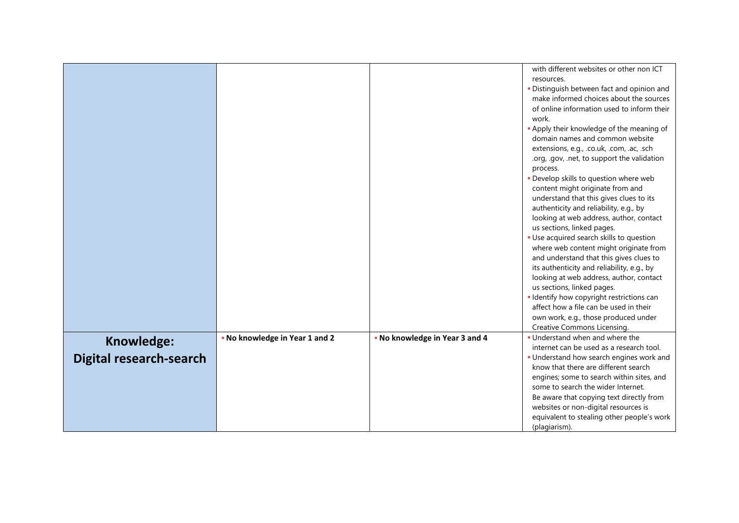|                         |                                |                                | with different websites or other non ICT<br>resources.<br>· Distinguish between fact and opinion and<br>make informed choices about the sources<br>of online information used to inform their<br>work.<br>. Apply their knowledge of the meaning of<br>domain names and common website<br>extensions, e.g., .co.uk, .com, .ac, .sch<br>.org, .gov, .net, to support the validation<br>process.<br>· Develop skills to question where web<br>content might originate from and<br>understand that this gives clues to its<br>authenticity and reliability, e.g., by<br>looking at web address, author, contact<br>us sections, linked pages.<br>· Use acquired search skills to question<br>where web content might originate from<br>and understand that this gives clues to<br>its authenticity and reliability, e.g., by<br>looking at web address, author, contact<br>us sections, linked pages.<br>· Identify how copyright restrictions can<br>affect how a file can be used in their<br>own work, e.g., those produced under<br>Creative Commons Licensing. |
|-------------------------|--------------------------------|--------------------------------|------------------------------------------------------------------------------------------------------------------------------------------------------------------------------------------------------------------------------------------------------------------------------------------------------------------------------------------------------------------------------------------------------------------------------------------------------------------------------------------------------------------------------------------------------------------------------------------------------------------------------------------------------------------------------------------------------------------------------------------------------------------------------------------------------------------------------------------------------------------------------------------------------------------------------------------------------------------------------------------------------------------------------------------------------------------|
|                         | - No knowledge in Year 1 and 2 | . No knowledge in Year 3 and 4 | . Understand when and where the                                                                                                                                                                                                                                                                                                                                                                                                                                                                                                                                                                                                                                                                                                                                                                                                                                                                                                                                                                                                                                  |
| Knowledge:              |                                |                                | internet can be used as a research tool.                                                                                                                                                                                                                                                                                                                                                                                                                                                                                                                                                                                                                                                                                                                                                                                                                                                                                                                                                                                                                         |
| Digital research-search |                                |                                | • Understand how search engines work and                                                                                                                                                                                                                                                                                                                                                                                                                                                                                                                                                                                                                                                                                                                                                                                                                                                                                                                                                                                                                         |
|                         |                                |                                | know that there are different search                                                                                                                                                                                                                                                                                                                                                                                                                                                                                                                                                                                                                                                                                                                                                                                                                                                                                                                                                                                                                             |
|                         |                                |                                | engines; some to search within sites, and                                                                                                                                                                                                                                                                                                                                                                                                                                                                                                                                                                                                                                                                                                                                                                                                                                                                                                                                                                                                                        |
|                         |                                |                                | some to search the wider Internet.                                                                                                                                                                                                                                                                                                                                                                                                                                                                                                                                                                                                                                                                                                                                                                                                                                                                                                                                                                                                                               |
|                         |                                |                                | Be aware that copying text directly from                                                                                                                                                                                                                                                                                                                                                                                                                                                                                                                                                                                                                                                                                                                                                                                                                                                                                                                                                                                                                         |
|                         |                                |                                | websites or non-digital resources is                                                                                                                                                                                                                                                                                                                                                                                                                                                                                                                                                                                                                                                                                                                                                                                                                                                                                                                                                                                                                             |
|                         |                                |                                | equivalent to stealing other people's work<br>(plagiarism).                                                                                                                                                                                                                                                                                                                                                                                                                                                                                                                                                                                                                                                                                                                                                                                                                                                                                                                                                                                                      |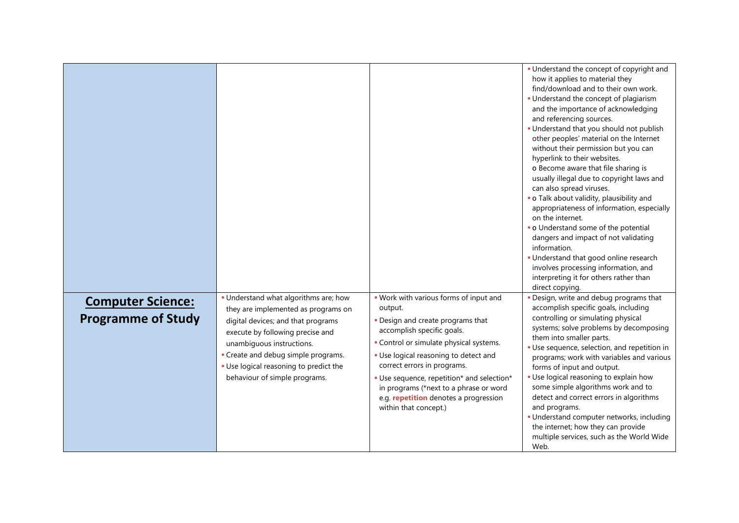|                                                       |                                                                                                                                                                                                                                                                                                       |                                                                                                                                                                                                                                                                                                                                                                                                   | • Understand the concept of copyright and<br>how it applies to material they<br>find/download and to their own work.<br>• Understand the concept of plagiarism<br>and the importance of acknowledging<br>and referencing sources.<br>· Understand that you should not publish<br>other peoples' material on the Internet<br>without their permission but you can<br>hyperlink to their websites.<br>o Become aware that file sharing is<br>usually illegal due to copyright laws and<br>can also spread viruses.<br>· o Talk about validity, plausibility and<br>appropriateness of information, especially<br>on the internet.<br>• o Understand some of the potential<br>dangers and impact of not validating<br>information.<br>· Understand that good online research<br>involves processing information, and<br>interpreting it for others rather than<br>direct copying. |
|-------------------------------------------------------|-------------------------------------------------------------------------------------------------------------------------------------------------------------------------------------------------------------------------------------------------------------------------------------------------------|---------------------------------------------------------------------------------------------------------------------------------------------------------------------------------------------------------------------------------------------------------------------------------------------------------------------------------------------------------------------------------------------------|--------------------------------------------------------------------------------------------------------------------------------------------------------------------------------------------------------------------------------------------------------------------------------------------------------------------------------------------------------------------------------------------------------------------------------------------------------------------------------------------------------------------------------------------------------------------------------------------------------------------------------------------------------------------------------------------------------------------------------------------------------------------------------------------------------------------------------------------------------------------------------|
| <b>Computer Science:</b><br><b>Programme of Study</b> | . Understand what algorithms are; how<br>they are implemented as programs on<br>digital devices; and that programs<br>execute by following precise and<br>unambiguous instructions.<br>- Create and debug simple programs.<br>. Use logical reasoning to predict the<br>behaviour of simple programs. | . Work with various forms of input and<br>output.<br>. Design and create programs that<br>accomplish specific goals.<br>- Control or simulate physical systems.<br>. Use logical reasoning to detect and<br>correct errors in programs.<br>· Use sequence, repetition* and selection*<br>in programs (*next to a phrase or word<br>e.g. repetition denotes a progression<br>within that concept.) | . Design, write and debug programs that<br>accomplish specific goals, including<br>controlling or simulating physical<br>systems; solve problems by decomposing<br>them into smaller parts.<br>· Use sequence, selection, and repetition in<br>programs; work with variables and various<br>forms of input and output.<br>· Use logical reasoning to explain how<br>some simple algorithms work and to<br>detect and correct errors in algorithms<br>and programs.<br>· Understand computer networks, including<br>the internet; how they can provide<br>multiple services, such as the World Wide<br>Web.                                                                                                                                                                                                                                                                     |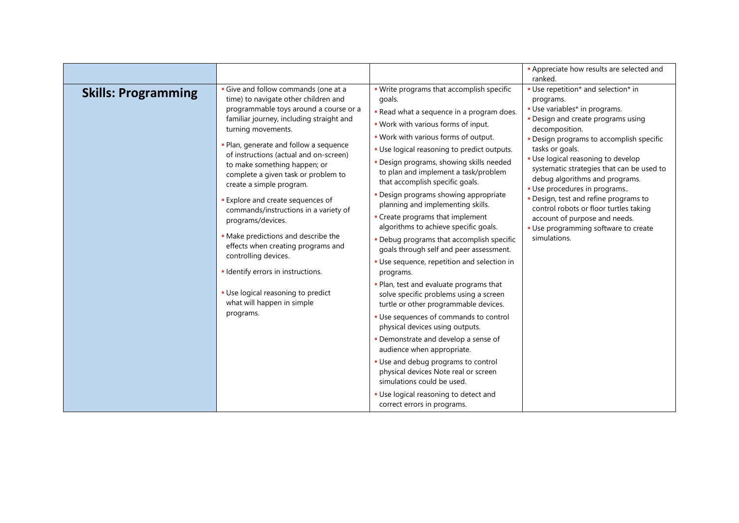| . Write programs that accomplish specific<br>• Use repetition* and selection* in<br>Give and follow commands (one at a<br><b>Skills: Programming</b><br>time) to navigate other children and<br>goals.<br>programs.<br>programmable toys around a course or a<br>· Use variables* in programs.<br>. Read what a sequence in a program does.                                                                                                                                                                                                                                                                                                                                                                                                                                                                                                                                                                                                                                                                                                                                                                                                                                                                                                                                                                                                                                                                                                                                                                                                                                                                                                                                                                                                                                                                                                                                                               |                                          | <b>-</b> Appreciate how results are selected and<br>ranked.                                                                 |
|-----------------------------------------------------------------------------------------------------------------------------------------------------------------------------------------------------------------------------------------------------------------------------------------------------------------------------------------------------------------------------------------------------------------------------------------------------------------------------------------------------------------------------------------------------------------------------------------------------------------------------------------------------------------------------------------------------------------------------------------------------------------------------------------------------------------------------------------------------------------------------------------------------------------------------------------------------------------------------------------------------------------------------------------------------------------------------------------------------------------------------------------------------------------------------------------------------------------------------------------------------------------------------------------------------------------------------------------------------------------------------------------------------------------------------------------------------------------------------------------------------------------------------------------------------------------------------------------------------------------------------------------------------------------------------------------------------------------------------------------------------------------------------------------------------------------------------------------------------------------------------------------------------------|------------------------------------------|-----------------------------------------------------------------------------------------------------------------------------|
| . Work with various forms of input.<br>decomposition.<br>turning movements.<br>. Work with various forms of output.<br>- Plan, generate and follow a sequence<br>tasks or goals.<br>• Use logical reasoning to predict outputs.<br>of instructions (actual and on-screen)<br>· Use logical reasoning to develop<br>· Design programs, showing skills needed<br>to make something happen; or<br>to plan and implement a task/problem<br>complete a given task or problem to<br>debug algorithms and programs.<br>that accomplish specific goals.<br>create a simple program.<br>· Use procedures in programs<br>- Design programs showing appropriate<br>· Design, test and refine programs to<br>Explore and create sequences of<br>planning and implementing skills.<br>control robots or floor turtles taking<br>commands/instructions in a variety of<br>- Create programs that implement<br>account of purpose and needs.<br>programs/devices.<br>algorithms to achieve specific goals.<br>· Use programming software to create<br>• Make predictions and describe the<br>simulations.<br>. Debug programs that accomplish specific<br>effects when creating programs and<br>goals through self and peer assessment.<br>controlling devices.<br>• Use sequence, repetition and selection in<br>· Identify errors in instructions.<br>programs.<br>. Plan, test and evaluate programs that<br>· Use logical reasoning to predict<br>solve specific problems using a screen<br>what will happen in simple<br>turtle or other programmable devices.<br>programs.<br>· Use sequences of commands to control<br>physical devices using outputs.<br>· Demonstrate and develop a sense of<br>audience when appropriate.<br>- Use and debug programs to control<br>physical devices Note real or screen<br>simulations could be used.<br>· Use logical reasoning to detect and<br>correct errors in programs. | familiar journey, including straight and | . Design and create programs using<br>. Design programs to accomplish specific<br>systematic strategies that can be used to |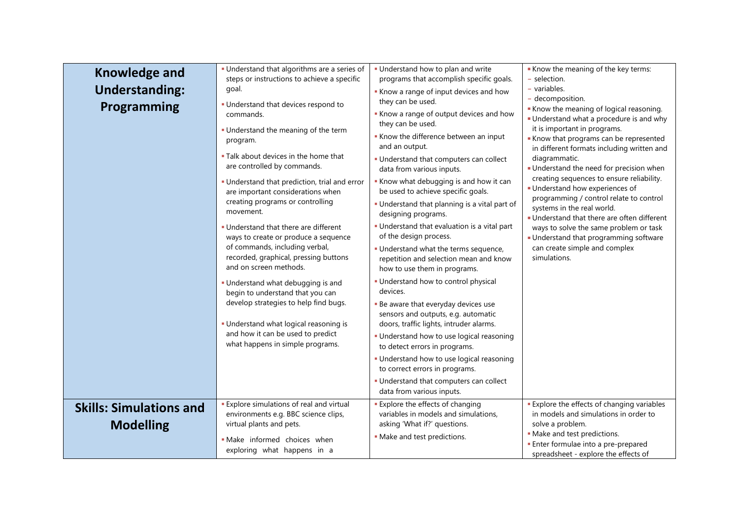| <b>Knowledge and</b><br><b>Understanding:</b><br>Programming | · Understand that algorithms are a series of<br>steps or instructions to achieve a specific<br>goal.<br>· Understand that devices respond to<br>commands.<br>. Understand the meaning of the term<br>program.<br>. Talk about devices in the home that<br>are controlled by commands.<br>· Understand that prediction, trial and error<br>are important considerations when<br>creating programs or controlling<br>movement.<br>. Understand that there are different<br>ways to create or produce a sequence<br>of commands, including verbal,<br>recorded, graphical, pressing buttons<br>and on screen methods.<br>• Understand what debugging is and<br>begin to understand that you can<br>develop strategies to help find bugs.<br>• Understand what logical reasoning is<br>and how it can be used to predict<br>what happens in simple programs. | . Understand how to plan and write<br>programs that accomplish specific goals.<br>Know a range of input devices and how<br>they can be used.<br>Know a range of output devices and how<br>they can be used.<br>Know the difference between an input<br>and an output.<br>. Understand that computers can collect<br>data from various inputs.<br>Know what debugging is and how it can<br>be used to achieve specific goals.<br>. Understand that planning is a vital part of<br>designing programs.<br>. Understand that evaluation is a vital part<br>of the design process.<br>. Understand what the terms sequence,<br>repetition and selection mean and know<br>how to use them in programs.<br>· Understand how to control physical<br>devices.<br>- Be aware that everyday devices use<br>sensors and outputs, e.g. automatic<br>doors, traffic lights, intruder alarms.<br>· Understand how to use logical reasoning<br>to detect errors in programs.<br>. Understand how to use logical reasoning<br>to correct errors in programs.<br>- Understand that computers can collect | Know the meaning of the key terms:<br>- selection.<br>- variables.<br>- decomposition.<br>Know the meaning of logical reasoning.<br>• Understand what a procedure is and why<br>it is important in programs.<br>Know that programs can be represented<br>in different formats including written and<br>diagrammatic.<br>Understand the need for precision when<br>creating sequences to ensure reliability.<br>· Understand how experiences of<br>programming / control relate to control<br>systems in the real world.<br>· Understand that there are often different<br>ways to solve the same problem or task<br>• Understand that programming software<br>can create simple and complex<br>simulations. |
|--------------------------------------------------------------|----------------------------------------------------------------------------------------------------------------------------------------------------------------------------------------------------------------------------------------------------------------------------------------------------------------------------------------------------------------------------------------------------------------------------------------------------------------------------------------------------------------------------------------------------------------------------------------------------------------------------------------------------------------------------------------------------------------------------------------------------------------------------------------------------------------------------------------------------------|-----------------------------------------------------------------------------------------------------------------------------------------------------------------------------------------------------------------------------------------------------------------------------------------------------------------------------------------------------------------------------------------------------------------------------------------------------------------------------------------------------------------------------------------------------------------------------------------------------------------------------------------------------------------------------------------------------------------------------------------------------------------------------------------------------------------------------------------------------------------------------------------------------------------------------------------------------------------------------------------------------------------------------------------------------------------------------------------|-------------------------------------------------------------------------------------------------------------------------------------------------------------------------------------------------------------------------------------------------------------------------------------------------------------------------------------------------------------------------------------------------------------------------------------------------------------------------------------------------------------------------------------------------------------------------------------------------------------------------------------------------------------------------------------------------------------|
|                                                              |                                                                                                                                                                                                                                                                                                                                                                                                                                                                                                                                                                                                                                                                                                                                                                                                                                                          | data from various inputs.                                                                                                                                                                                                                                                                                                                                                                                                                                                                                                                                                                                                                                                                                                                                                                                                                                                                                                                                                                                                                                                               |                                                                                                                                                                                                                                                                                                                                                                                                                                                                                                                                                                                                                                                                                                             |
| <b>Skills: Simulations and</b><br><b>Modelling</b>           | <b>Explore simulations of real and virtual</b><br>environments e.g. BBC science clips,<br>virtual plants and pets.<br>· Make informed choices when<br>exploring what happens in a                                                                                                                                                                                                                                                                                                                                                                                                                                                                                                                                                                                                                                                                        | <b>Explore the effects of changing</b><br>variables in models and simulations,<br>asking 'What if?' questions.<br>- Make and test predictions.                                                                                                                                                                                                                                                                                                                                                                                                                                                                                                                                                                                                                                                                                                                                                                                                                                                                                                                                          | <b>Explore the effects of changing variables</b><br>in models and simulations in order to<br>solve a problem.<br>· Make and test predictions.<br><b>Enter formulae into a pre-prepared</b><br>spreadsheet - explore the effects of                                                                                                                                                                                                                                                                                                                                                                                                                                                                          |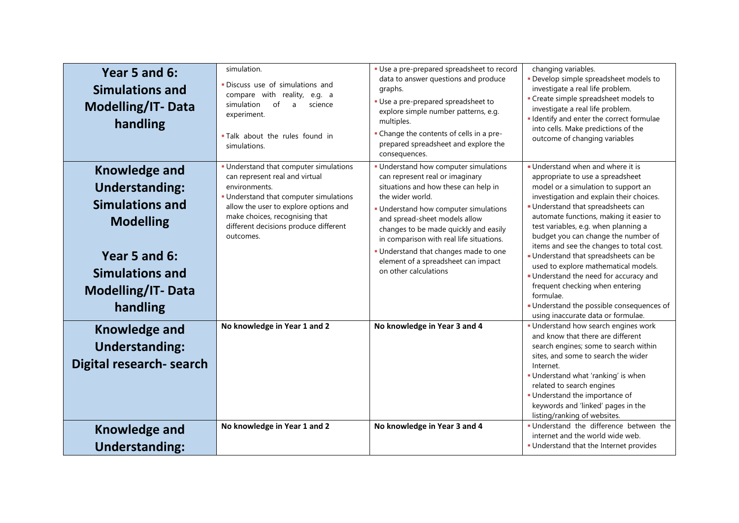| Year 5 and 6:<br><b>Simulations and</b><br><b>Modelling/IT-Data</b><br>handling                                                                                                | simulation.<br>· Discuss use of simulations and<br>compare with reality, e.g. a<br>simulation<br>of<br>science<br>$\mathsf{a}$<br>experiment.<br>. Talk about the rules found in<br>simulations.                                                                     | • Use a pre-prepared spreadsheet to record<br>data to answer questions and produce<br>graphs.<br>· Use a pre-prepared spreadsheet to<br>explore simple number patterns, e.g.<br>multiples.<br>- Change the contents of cells in a pre-<br>prepared spreadsheet and explore the<br>consequences.                                                                                                            | changing variables.<br>· Develop simple spreadsheet models to<br>investigate a real life problem.<br>• Create simple spreadsheet models to<br>investigate a real life problem.<br>· Identify and enter the correct formulae<br>into cells. Make predictions of the<br>outcome of changing variables                                                                                                                                                                                                                                                                                                                          |
|--------------------------------------------------------------------------------------------------------------------------------------------------------------------------------|----------------------------------------------------------------------------------------------------------------------------------------------------------------------------------------------------------------------------------------------------------------------|------------------------------------------------------------------------------------------------------------------------------------------------------------------------------------------------------------------------------------------------------------------------------------------------------------------------------------------------------------------------------------------------------------|------------------------------------------------------------------------------------------------------------------------------------------------------------------------------------------------------------------------------------------------------------------------------------------------------------------------------------------------------------------------------------------------------------------------------------------------------------------------------------------------------------------------------------------------------------------------------------------------------------------------------|
| <b>Knowledge and</b><br><b>Understanding:</b><br><b>Simulations and</b><br><b>Modelling</b><br>Year 5 and 6:<br><b>Simulations and</b><br><b>Modelling/IT-Data</b><br>handling | • Understand that computer simulations<br>can represent real and virtual<br>environments.<br>- Understand that computer simulations<br>allow the user to explore options and<br>make choices, recognising that<br>different decisions produce different<br>outcomes. | · Understand how computer simulations<br>can represent real or imaginary<br>situations and how these can help in<br>the wider world.<br>· Understand how computer simulations<br>and spread-sheet models allow<br>changes to be made quickly and easily<br>in comparison with real life situations.<br>Understand that changes made to one<br>element of a spreadsheet can impact<br>on other calculations | Understand when and where it is<br>appropriate to use a spreadsheet<br>model or a simulation to support an<br>investigation and explain their choices.<br>Understand that spreadsheets can<br>automate functions, making it easier to<br>test variables, e.g. when planning a<br>budget you can change the number of<br>items and see the changes to total cost.<br>• Understand that spreadsheets can be<br>used to explore mathematical models.<br>• Understand the need for accuracy and<br>frequent checking when entering<br>formulae.<br>Understand the possible consequences of<br>using inaccurate data or formulae. |
| <b>Knowledge and</b><br><b>Understanding:</b><br>Digital research- search                                                                                                      | No knowledge in Year 1 and 2                                                                                                                                                                                                                                         | No knowledge in Year 3 and 4                                                                                                                                                                                                                                                                                                                                                                               | . Understand how search engines work<br>and know that there are different<br>search engines; some to search within<br>sites, and some to search the wider<br>Internet.<br>· Understand what 'ranking' is when<br>related to search engines<br>· Understand the importance of<br>keywords and 'linked' pages in the<br>listing/ranking of websites.                                                                                                                                                                                                                                                                           |
| <b>Knowledge and</b><br><b>Understanding:</b>                                                                                                                                  | No knowledge in Year 1 and 2                                                                                                                                                                                                                                         | No knowledge in Year 3 and 4                                                                                                                                                                                                                                                                                                                                                                               | · Understand the difference between the<br>internet and the world wide web.<br>. Understand that the Internet provides                                                                                                                                                                                                                                                                                                                                                                                                                                                                                                       |